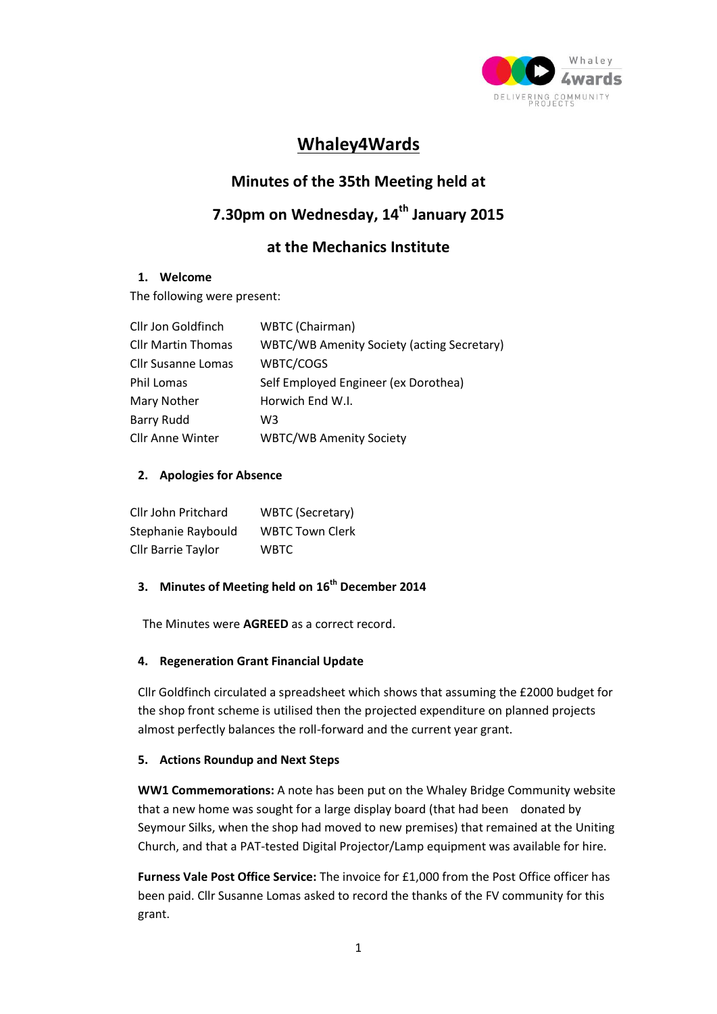

# **Whaley4Wards**

## **Minutes of the 35th Meeting held at**

# **7.30pm on Wednesday, 14th January 2015**

## **at the Mechanics Institute**

#### **1. Welcome**

The following were present:

| Cllr Jon Goldfinch        | WBTC (Chairman)                                   |
|---------------------------|---------------------------------------------------|
| <b>Cllr Martin Thomas</b> | <b>WBTC/WB Amenity Society (acting Secretary)</b> |
| <b>Cllr Susanne Lomas</b> | WBTC/COGS                                         |
| <b>Phil Lomas</b>         | Self Employed Engineer (ex Dorothea)              |
| Mary Nother               | Horwich End W.I.                                  |
| <b>Barry Rudd</b>         | W3                                                |
| <b>Cllr Anne Winter</b>   | <b>WBTC/WB Amenity Society</b>                    |

### **2. Apologies for Absence**

| Cllr John Pritchard | <b>WBTC (Secretary)</b> |
|---------------------|-------------------------|
| Stephanie Raybould  | <b>WBTC Town Clerk</b>  |
| Cllr Barrie Taylor  | <b>WBTC</b>             |

### **3. Minutes of Meeting held on 16th December 2014**

The Minutes were **AGREED** as a correct record.

#### **4. Regeneration Grant Financial Update**

Cllr Goldfinch circulated a spreadsheet which shows that assuming the £2000 budget for the shop front scheme is utilised then the projected expenditure on planned projects almost perfectly balances the roll-forward and the current year grant.

#### **5. Actions Roundup and Next Steps**

**WW1 Commemorations:** A note has been put on the Whaley Bridge Community website that a new home was sought for a large display board (that had been donated by Seymour Silks, when the shop had moved to new premises) that remained at the Uniting Church, and that a PAT-tested Digital Projector/Lamp equipment was available for hire.

**Furness Vale Post Office Service:** The invoice for £1,000 from the Post Office officer has been paid. Cllr Susanne Lomas asked to record the thanks of the FV community for this grant.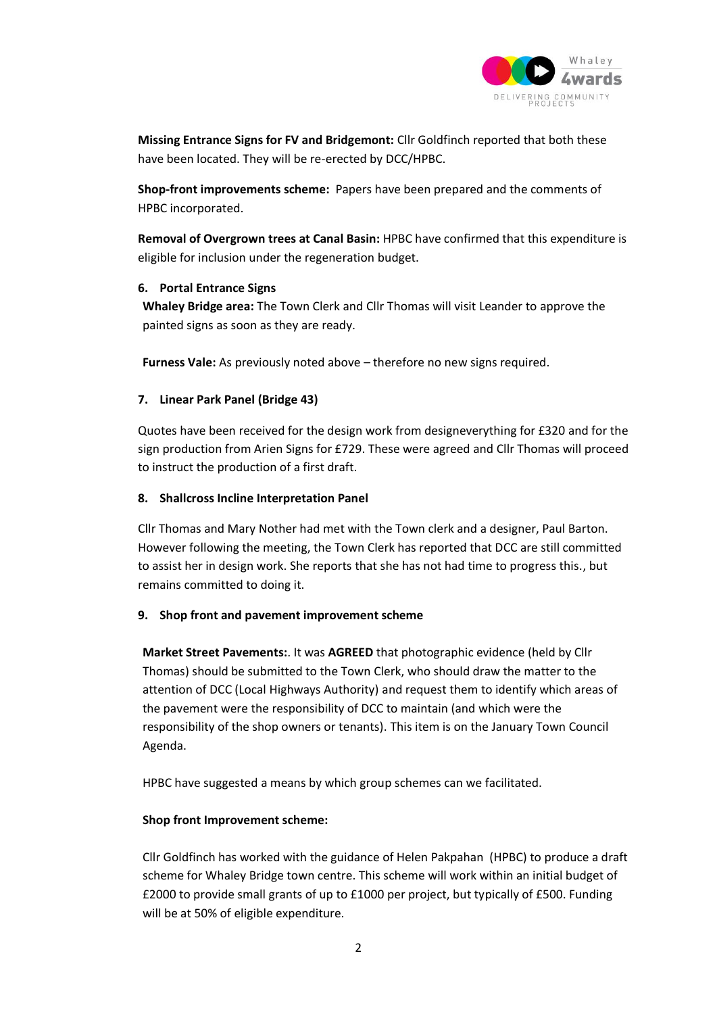

**Missing Entrance Signs for FV and Bridgemont:** Cllr Goldfinch reported that both these have been located. They will be re-erected by DCC/HPBC.

**Shop-front improvements scheme:** Papers have been prepared and the comments of HPBC incorporated.

**Removal of Overgrown trees at Canal Basin:** HPBC have confirmed that this expenditure is eligible for inclusion under the regeneration budget.

#### **6. Portal Entrance Signs**

**Whaley Bridge area:** The Town Clerk and Cllr Thomas will visit Leander to approve the painted signs as soon as they are ready.

**Furness Vale:** As previously noted above – therefore no new signs required.

#### **7. Linear Park Panel (Bridge 43)**

Quotes have been received for the design work from designeverything for £320 and for the sign production from Arien Signs for £729. These were agreed and Cllr Thomas will proceed to instruct the production of a first draft.

#### **8. Shallcross Incline Interpretation Panel**

Cllr Thomas and Mary Nother had met with the Town clerk and a designer, Paul Barton. However following the meeting, the Town Clerk has reported that DCC are still committed to assist her in design work. She reports that she has not had time to progress this., but remains committed to doing it.

#### **9. Shop front and pavement improvement scheme**

**Market Street Pavements:**. It was **AGREED** that photographic evidence (held by Cllr Thomas) should be submitted to the Town Clerk, who should draw the matter to the attention of DCC (Local Highways Authority) and request them to identify which areas of the pavement were the responsibility of DCC to maintain (and which were the responsibility of the shop owners or tenants). This item is on the January Town Council Agenda.

HPBC have suggested a means by which group schemes can we facilitated.

#### **Shop front Improvement scheme:**

Cllr Goldfinch has worked with the guidance of Helen Pakpahan (HPBC) to produce a draft scheme for Whaley Bridge town centre. This scheme will work within an initial budget of £2000 to provide small grants of up to £1000 per project, but typically of £500. Funding will be at 50% of eligible expenditure.